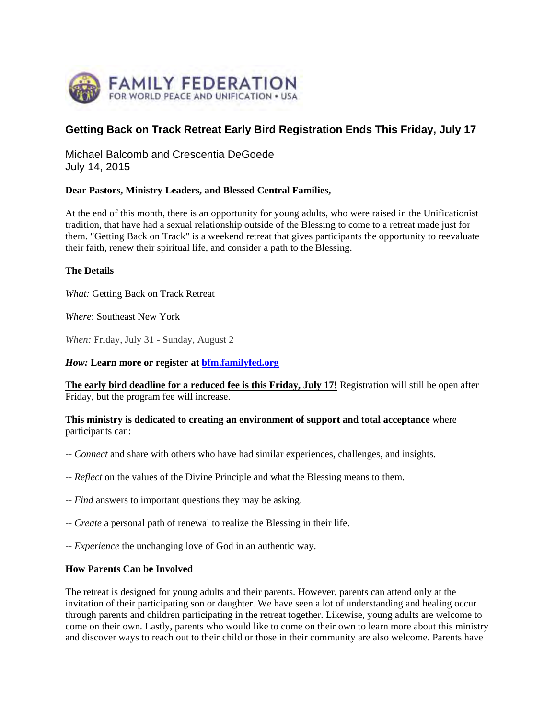

# **Getting Back on Track Retreat Early Bird Registration Ends This Friday, July 17**

Michael Balcomb and Crescentia DeGoede July 14, 2015

#### **Dear Pastors, Ministry Leaders, and Blessed Central Families,**

At the end of this month, there is an opportunity for young adults, who were raised in the Unificationist tradition, that have had a sexual relationship outside of the Blessing to come to a retreat made just for them. "Getting Back on Track" is a weekend retreat that gives participants the opportunity to reevaluate their faith, renew their spiritual life, and consider a path to the Blessing.

## **The Details**

*What:* Getting Back on Track Retreat

*Where*: Southeast New York

*When:* Friday, July 31 - Sunday, August 2

#### *How:* **Learn more or register at bfm.familyfed.org**

**The early bird deadline for a reduced fee is this Friday, July 17! Registration will still be open after** Friday, but the program fee will increase.

## **This ministry is dedicated to creating an environment of support and total acceptance** where participants can:

- -- *Connect* and share with others who have had similar experiences, challenges, and insights.
- -- *Reflect* on the values of the Divine Principle and what the Blessing means to them.
- -- *Find* answers to important questions they may be asking.
- -- *Create* a personal path of renewal to realize the Blessing in their life.
- -- *Experience* the unchanging love of God in an authentic way.

## **How Parents Can be Involved**

The retreat is designed for young adults and their parents. However, parents can attend only at the invitation of their participating son or daughter. We have seen a lot of understanding and healing occur through parents and children participating in the retreat together. Likewise, young adults are welcome to come on their own. Lastly, parents who would like to come on their own to learn more about this ministry and discover ways to reach out to their child or those in their community are also welcome. Parents have